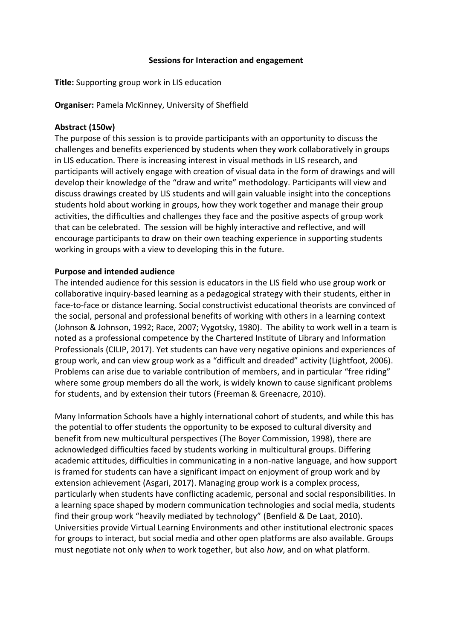#### **Sessions for Interaction and engagement**

**Title:** Supporting group work in LIS education

**Organiser:** Pamela McKinney, University of Sheffield

## **Abstract (150w)**

The purpose of this session is to provide participants with an opportunity to discuss the challenges and benefits experienced by students when they work collaboratively in groups in LIS education. There is increasing interest in visual methods in LIS research, and participants will actively engage with creation of visual data in the form of drawings and will develop their knowledge of the "draw and write" methodology. Participants will view and discuss drawings created by LIS students and will gain valuable insight into the conceptions students hold about working in groups, how they work together and manage their group activities, the difficulties and challenges they face and the positive aspects of group work that can be celebrated. The session will be highly interactive and reflective, and will encourage participants to draw on their own teaching experience in supporting students working in groups with a view to developing this in the future.

## **Purpose and intended audience**

The intended audience for this session is educators in the LIS field who use group work or collaborative inquiry-based learning as a pedagogical strategy with their students, either in face-to-face or distance learning. Social constructivist educational theorists are convinced of the social, personal and professional benefits of working with others in a learning context (Johnson & Johnson, 1992; Race, 2007; Vygotsky, 1980). The ability to work well in a team is noted as a professional competence by the Chartered Institute of Library and Information Professionals (CILIP, 2017). Yet students can have very negative opinions and experiences of group work, and can view group work as a "difficult and dreaded" activity (Lightfoot, 2006). Problems can arise due to variable contribution of members, and in particular "free riding" where some group members do all the work, is widely known to cause significant problems for students, and by extension their tutors (Freeman & Greenacre, 2010).

Many Information Schools have a highly international cohort of students, and while this has the potential to offer students the opportunity to be exposed to cultural diversity and benefit from new multicultural perspectives (The Boyer Commission, 1998), there are acknowledged difficulties faced by students working in multicultural groups. Differing academic attitudes, difficulties in communicating in a non-native language, and how support is framed for students can have a significant impact on enjoyment of group work and by extension achievement (Asgari, 2017). Managing group work is a complex process, particularly when students have conflicting academic, personal and social responsibilities. In a learning space shaped by modern communication technologies and social media, students find their group work "heavily mediated by technology" (Benfield & De Laat, 2010). Universities provide Virtual Learning Environments and other institutional electronic spaces for groups to interact, but social media and other open platforms are also available. Groups must negotiate not only *when* to work together, but also *how*, and on what platform.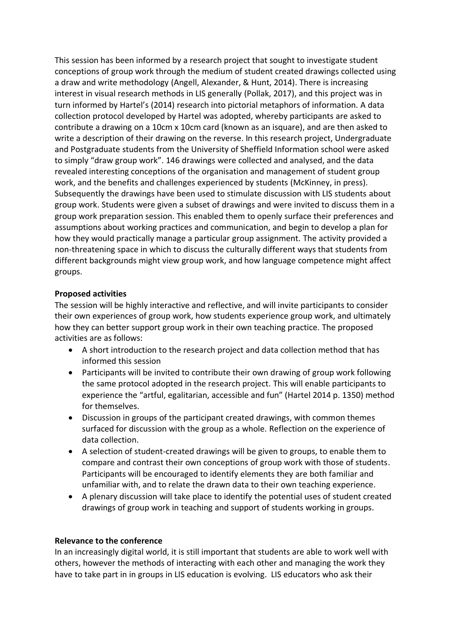This session has been informed by a research project that sought to investigate student conceptions of group work through the medium of student created drawings collected using a draw and write methodology (Angell, Alexander, & Hunt, 2014). There is increasing interest in visual research methods in LIS generally (Pollak, 2017), and this project was in turn informed by Hartel's (2014) research into pictorial metaphors of information. A data collection protocol developed by Hartel was adopted, whereby participants are asked to contribute a drawing on a 10cm x 10cm card (known as an isquare), and are then asked to write a description of their drawing on the reverse. In this research project, Undergraduate and Postgraduate students from the University of Sheffield Information school were asked to simply "draw group work". 146 drawings were collected and analysed, and the data revealed interesting conceptions of the organisation and management of student group work, and the benefits and challenges experienced by students (McKinney, in press). Subsequently the drawings have been used to stimulate discussion with LIS students about group work. Students were given a subset of drawings and were invited to discuss them in a group work preparation session. This enabled them to openly surface their preferences and assumptions about working practices and communication, and begin to develop a plan for how they would practically manage a particular group assignment. The activity provided a non-threatening space in which to discuss the culturally different ways that students from different backgrounds might view group work, and how language competence might affect groups.

### **Proposed activities**

The session will be highly interactive and reflective, and will invite participants to consider their own experiences of group work, how students experience group work, and ultimately how they can better support group work in their own teaching practice. The proposed activities are as follows:

- A short introduction to the research project and data collection method that has informed this session
- Participants will be invited to contribute their own drawing of group work following the same protocol adopted in the research project. This will enable participants to experience the "artful, egalitarian, accessible and fun" (Hartel 2014 p. 1350) method for themselves.
- Discussion in groups of the participant created drawings, with common themes surfaced for discussion with the group as a whole. Reflection on the experience of data collection.
- A selection of student-created drawings will be given to groups, to enable them to compare and contrast their own conceptions of group work with those of students. Participants will be encouraged to identify elements they are both familiar and unfamiliar with, and to relate the drawn data to their own teaching experience.
- A plenary discussion will take place to identify the potential uses of student created drawings of group work in teaching and support of students working in groups.

# **Relevance to the conference**

In an increasingly digital world, it is still important that students are able to work well with others, however the methods of interacting with each other and managing the work they have to take part in in groups in LIS education is evolving. LIS educators who ask their